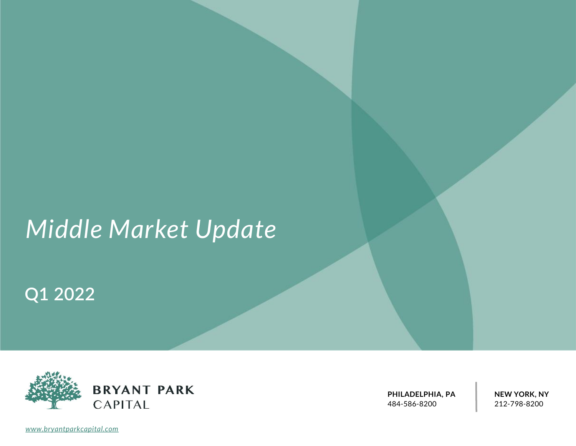# *Middle Market Update*

## **Q1 2022**



**PHILADELPHIA, PA** 484-586-8200

**NEW YORK, NY** 212-798-8200

*[www.bryantparkcapital.com](http://www.bryantparkcapital.com/)*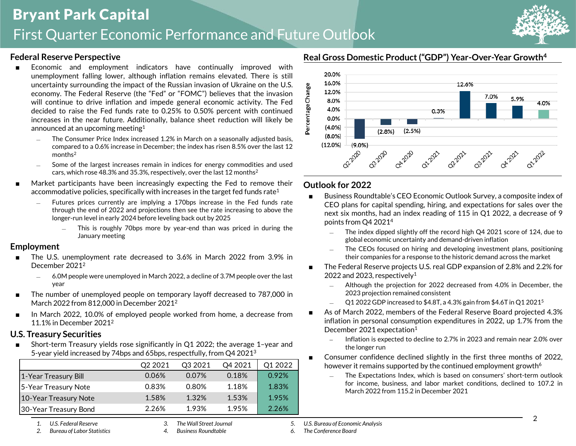### Bryant Park Capital First Quarter Economic Performance and Future Outlook



#### **Federal Reserve Perspective**

- Economic and employment indicators have continually improved with unemployment falling lower, although inflation remains elevated. There is still uncertainty surrounding the impact of the Russian invasion of Ukraine on the U.S. economy. The Federal Reserve (the "Fed" or "FOMC") believes that the invasion will continue to drive inflation and impede general economic activity. The Fed decided to raise the Fed funds rate to 0.25% to 0.50% percent with continued increases in the near future. Additionally, balance sheet reduction will likely be announced at an upcoming meeting<sup>1</sup>
	- The Consumer Price Index increased 1.2% in March on a seasonally adjusted basis, compared to a 0.6% increase in December; the index has risen 8.5% over the last 12 months<sup>2</sup>
	- Some of the largest increases remain in indices for energy commodities and used cars, which rose 48.3% and 35.3%, respectively, over the last 12 months<sup>2</sup>
- Market participants have been increasingly expecting the Fed to remove their accommodative policies, specifically with increases in the target fed funds rate<sup>1</sup>
	- Futures prices currently are implying a 170bps increase in the Fed funds rate through the end of 2022 and projections then see the rate increasing to above the longer-run level in early 2024 before leveling back out by 2025
		- This is roughly 70bps more by year-end than was priced in during the January meeting

#### **Employment**

- The U.S. unemployment rate decreased to 3.6% in March 2022 from 3.9% in December 2021<sup>2</sup>
	- ― 6.0M people were unemployed in March 2022, a decline of 3.7M people over the last year
- The number of unemployed people on temporary layoff decreased to 787,000 in March 2022 from 812,000 in December 2021<sup>2</sup>
- In March 2022, 10.0% of employed people worked from home, a decrease from 11.1% in December 2021<sup>2</sup>

#### **U.S. Treasury Securities**

■ Short-term Treasury yields rose significantly in Q1 2022; the average 1-year and 5-year yield increased by 74bps and 65bps, respectfully, from Q4 2021<sup>3</sup>

|                       | O <sub>2</sub> 2021 | O <sub>3</sub> 2021 | O <sub>4</sub> 2021 | O1 2022 |
|-----------------------|---------------------|---------------------|---------------------|---------|
| 1-Year Treasury Bill  | 0.06%               | 0.07%               | 0.18%               | 0.92%   |
| 5-Year Treasury Note  | 0.83%               | 0.80%               | 1.18%               | 1.83%   |
| 10-Year Treasury Note | 1.58%               | 1.32%               | 1.53%               | 1.95%   |
| 30-Year Treasury Bond | 2.26%               | 193%                | 1.95%               | 2.26%   |



**Real Gross Domestic Product ("GDP") Year-Over-Year Growth<sup>4</sup>**

#### **Outlook for 2022**

- Business Roundtable's CEO Economic Outlook Survey, a composite index of CEO plans for capital spending, hiring, and expectations for sales over the next six months, had an index reading of 115 in Q1 2022, a decrease of 9 points from Q4 2021<sup>4</sup>
	- ― The index dipped slightly off the record high Q4 2021 score of 124, due to global economic uncertainty and demand-driven inflation
	- The CEOs focused on hiring and developing investment plans, positioning their companies for a response to the historic demand across the market
- The Federal Reserve projects U.S. real GDP expansion of 2.8% and 2.2% for 2022 and 2023, respectively<sup>1</sup>
	- Although the projection for 2022 decreased from 4.0% in December, the 2023 projection remained consistent
	- Q1 2022 GDP increased to \$4.8T, a 4.3% gain from \$4.6T in Q1 2021<sup>5</sup>
- As of March 2022, members of the Federal Reserve Board projected 4.3% inflation in personal consumption expenditures in 2022, up 1.7% from the December 2021 expectation<sup>1</sup>
	- Inflation is expected to decline to 2.7% in 2023 and remain near 2.0% over the longer run
- Consumer confidence declined slightly in the first three months of 2022, however it remains supported by the continued employment growth<sup>6</sup>
	- ― The Expectations Index, which is based on consumers' short-term outlook for income, business, and labor market conditions, declined to 107.2 in March 2022 from 115.2 in December 2021

*5. U.S. Bureau of Economic Analysis*

*6. The Conference Board*

*1. U.S. Federal Reserve* 

*2. Bureau of Labor Statistics*

*3. The Wall Street Journal*

*4. Business Roundtable*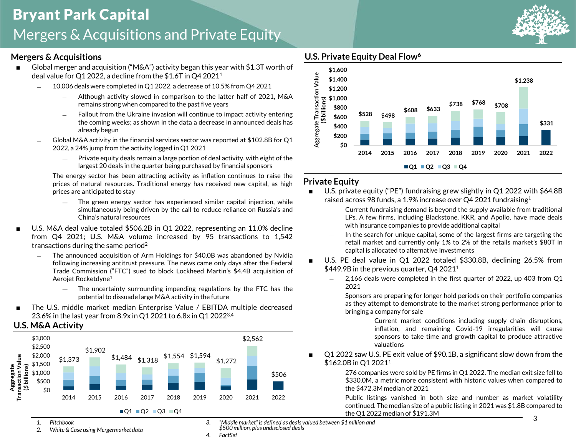#### **Mergers & Acquisitions**

- Global merger and acquisition ("M&A") activity began this year with \$1.3T worth of deal value for Q1 2022, a decline from the \$1.6T in Q4 2021<sup>1</sup>
	- ― 10,006 deals were completed in Q1 2022, a decrease of 10.5% from Q4 2021
		- Although activity slowed in comparison to the latter half of 2021, M&A remains strong when compared to the past five years
		- ― Fallout from the Ukraine invasion will continue to impact activity entering the coming weeks; as shown in the data a decrease in announced deals has already begun
	- Global M&A activity in the financial services sector was reported at \$102.8B for Q1 2022, a 24% jump from the activity logged in Q1 2021
		- ― Private equity deals remain a large portion of deal activity, with eight of the largest 20 deals in the quarter being purchased by financial sponsors
	- The energy sector has been attracting activity as inflation continues to raise the prices of natural resources. Traditional energy has received new capital, as high prices are anticipated to stay
		- ― The green energy sector has experienced similar capital injection, while simultaneously being driven by the call to reduce reliance on Russia's and China's natural resources
- U.S. M&A deal value totaled \$506.2B in Q1 2022, representing an 11.0% decline from Q4 2021; U.S. M&A volume increased by 95 transactions to 1,542 transactions during the same period<sup>2</sup>
	- The announced acquisition of Arm Holdings for \$40.0B was abandoned by Nvidia following increasing antitrust pressure. The news came only days after the Federal Trade Commission ("FTC") sued to block Lockheed Martin's \$4.4B acquisition of Aerojet Rocketdyne<sup>1</sup>
		- ― The uncertainty surrounding impending regulations by the FTC has the potential to dissuade large M&A activity in the future
- The U.S. middle market median Enterprise Value / EBITDA multiple decreased 23.6% in the last year from 8.9x in Q1 2021 to 6.8x in Q1 20223,4







### **U.S. Private Equity Deal Flow<sup>6</sup>**

**\$0**



- U.S. private equity ("PE") fundraising grew slightly in Q1 2022 with \$64.8B raised across 98 funds, a 1.9% increase over Q4 2021 fundraising $^1$ 
	- ― Current fundraising demand is beyond the supply available from traditional LPs. A few firms, including Blackstone, KKR, and Apollo, have made deals with insurance companies to provide additional capital

**2014 2015 2016 2017 2018 2019 2020 2021 2022**

- ― In the search for unique capital, some of the largest firms are targeting the retail market and currently only 1% to 2% of the retails market's \$80T in capital is allocated to alternative investments
- U.S. PE deal value in Q1 2022 totaled \$330.8B, declining 26.5% from \$449.9B in the previous quarter, Q4 2021<sup>1</sup>
	- 2,166 deals were completed in the first quarter of 2022, up 403 from Q1 2021
	- ― Sponsors are preparing for longer hold periods on their portfolio companies as they attempt to demonstrate to the market strong performance prior to bringing a company for sale
		- Current market conditions including supply chain disruptions, inflation, and remaining Covid-19 irregularities will cause sponsors to take time and growth capital to produce attractive valuations
- Q1 2022 saw U.S. PE exit value of \$90.1B, a significant slow down from the \$162.0B in O1 2021<sup>1</sup>
	- 276 companies were sold by PE firms in Q1 2022. The median exit size fell to \$330.0M, a metric more consistent with historic values when compared to the \$472.3M median of 2021
	- Public listings vanished in both size and number as market volatility continued. The median size of a public listing in 2021 was \$1.8B compared to the Q1 2022 median of \$191.3M

*1. Pitchbook* 

*2. White & Case using Mergermarket data*

*3. "Middle market" is defined as deals valued between \$1 million and \$500 million, plus undisclosed deals*

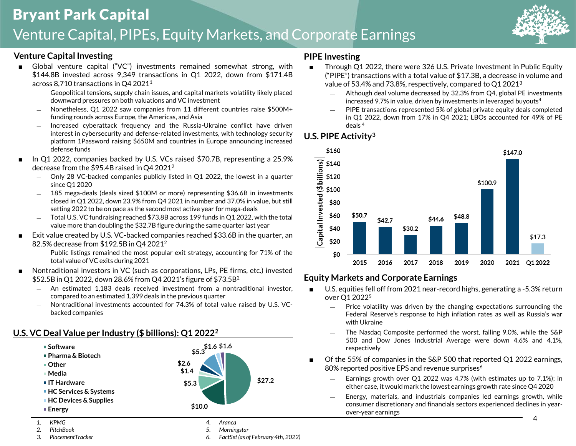### Bryant Park Capital Venture Capital, PIPEs, Equity Markets, and Corporate Earnings

#### **Venture Capital Investing**

- Global venture capital ("VC") investments remained somewhat strong, with \$144.8B invested across 9,349 transactions in Q1 2022, down from \$171.4B across 8,710 transactions in Q4 2021<sup>1</sup>
	- ― Geopolitical tensions, supply chain issues, and capital markets volatility likely placed downward pressures on both valuations and VC investment
	- ― Nonetheless, Q1 2022 saw companies from 11 different countries raise \$500M+ funding rounds across Europe, the Americas, and Asia
	- ― Increased cyberattack frequency and the Russia-Ukraine conflict have driven interest in cybersecurity and defense-related investments, with technology security platform 1Password raising \$650M and countries in Europe announcing increased defense funds
- In Q1 2022, companies backed by U.S. VCs raised \$70.7B, representing a 25.9% decrease from the \$95.4B raised in Q4 2021<sup>2</sup>
	- ― Only 28 VC-backed companies publicly listed in Q1 2022, the lowest in a quarter since Q1 2020
	- 185 mega-deals (deals sized \$100M or more) representing \$36.6B in investments closed in Q1 2022, down 23.9% from Q4 2021 in number and 37.0% in value, but still setting 2022 to be on pace as the second most active year for mega-deals
	- Total U.S. VC fundraising reached \$73.8B across 199 funds in Q1 2022, with the total value more than doubling the \$32.7B figure during the same quarter last year
- Exit value created by U.S. VC-backed companies reached \$33.6B in the quarter, an 82.5% decrease from \$192.5B in Q4 2021<sup>2</sup>
	- Public listings remained the most popular exit strategy, accounting for 71% of the total value of VC exits during 2021
- Nontraditional investors in VC (such as corporations, LPs, PE firms, etc.) invested \$52.5B in Q1 2022, down 28.6% from Q4 2021's figure of \$73.5B<sup>2</sup>
	- An estimated 1.183 deals received investment from a nontraditional investor, compared to an estimated 1,399 deals in the previous quarter
	- ― Nontraditional investments accounted for 74.3% of total value raised by U.S. VCbacked companies

#### **U.S. VC Deal Value per Industry (\$ billions): Q1 2022<sup>2</sup>**



#### *3. PlacementTracker*

- *5. Morningstar*
- *6. FactSet (as of February 4th, 2022)*

#### **PIPE Investing**

- Through Q1 2022, there were 326 U.S. Private Investment in Public Equity ("PIPE") transactions with a total value of \$17.3B, a decrease in volume and value of 53.4% and 73.8%, respectively, compared to Q1 2021<sup>3</sup>
	- ― Although deal volume decreased by 32.3% from Q4, global PE investments increased 9.7% in value, driven by investments in leveraged buyouts<sup>4</sup>
	- PIPE transactions represented 5% of global private equity deals completed in Q1 2022, down from 17% in Q4 2021; LBOs accounted for 49% of PE deals <sup>4</sup>

#### **U.S. PIPE Activity<sup>3</sup>**



#### **Equity Markets and Corporate Earnings**

- U.S. equities fell off from 2021 near-record highs, generating a -5.3% return over Q1 2022<sup>5</sup>
	- ― Price volatility was driven by the changing expectations surrounding the Federal Reserve's response to high inflation rates as well as Russia's war with Ukraine
	- The Nasdaq Composite performed the worst, falling 9.0%, while the S&P 500 and Dow Jones Industrial Average were down 4.6% and 4.1%, respectively
- Of the 55% of companies in the S&P 500 that reported Q1 2022 earnings, 80% reported positive EPS and revenue surprises<sup>6</sup>
	- ― Earnings growth over Q1 2022 was 4.7% (with estimates up to 7.1%); in either case, it would mark the lowest earnings growth rate since Q4 2020
	- ― Energy, materials, and industrials companies led earnings growth, while consumer discretionary and financials sectors experienced declines in yearover-year earnings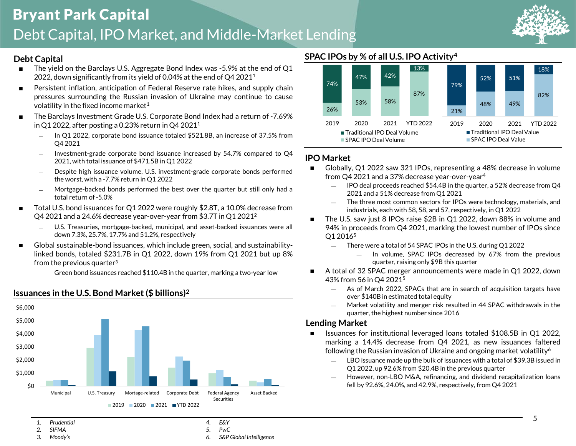

#### **Debt Capital**

- **■** The yield on the Barclays U.S. Aggregate Bond Index was  $-5.9\%$  at the end of Q1 2022, down significantly from its yield of 0.04% at the end of Q4 2021<sup>1</sup>
- Persistent inflation, anticipation of Federal Reserve rate hikes, and supply chain pressures surrounding the Russian invasion of Ukraine may continue to cause volatility in the fixed income market<sup>1</sup>
- The Barclays Investment Grade U.S. Corporate Bond Index had a return of -7.69% in Q1 2022, after posting a 0.23% return in Q4 2021<sup>1</sup>
	- ― In Q1 2022, corporate bond issuance totaled \$521.8B, an increase of 37.5% from Q4 2021
	- ― Investment-grade corporate bond issuance increased by 54.7% compared to Q4 2021, with total issuance of \$471.5B in Q1 2022
	- Despite high issuance volume, U.S. investment-grade corporate bonds performed the worst, with a -7.7% return in Q1 2022
	- Mortgage-backed bonds performed the best over the quarter but still only had a total return of -5.0%
- Total U.S. bond issuances for Q1 2022 were roughly \$2.8T, a 10.0% decrease from Q4 2021 and a 24.6% decrease year-over-year from \$3.7T in Q1 2021<sup>2</sup>
	- ― U.S. Treasuries, mortgage-backed, municipal, and asset-backed issuances were all down 7.3%, 25.7%, 17.7% and 51.2%, respectively
- Global sustainable-bond issuances, which include green, social, and sustainabilitylinked bonds, totaled \$231.7B in Q1 2022, down 19% from Q1 2021 but up 8% from the previous quarter $3$ 
	- Green bond issuances reached \$110.4B in the quarter, marking a two-year low







#### **IPO Market**

- Globally, Q1 2022 saw 321 IPOs, representing a 48% decrease in volume from Q4 2021 and a 37% decrease year-over-year<sup>4</sup>
	- ― IPO deal proceeds reached \$54.4B in the quarter, a 52% decrease from Q4 2021 and a 51% decrease from Q1 2021
	- The three most common sectors for IPOs were technology, materials, and industrials, each with 58, 58, and 57, respectively, in Q1 2022
- The U.S. saw just 8 IPOs raise \$2B in Q1 2022, down 88% in volume and 94% in proceeds from Q4 2021, marking the lowest number of IPOs since Q1 2016<sup>5</sup>
	- ― There were a total of 54 SPAC IPOs in the U.S. during Q1 2022
		- In volume, SPAC IPOs decreased by 67% from the previous quarter, raising only \$9B this quarter
- A total of 32 SPAC merger announcements were made in Q1 2022, down 43% from 56 in Q4 2021<sup>5</sup>
	- ― As of March 2022, SPACs that are in search of acquisition targets have over \$140B in estimated total equity
	- ― Market volatility and merger risk resulted in 44 SPAC withdrawals in the quarter, the highest number since 2016

#### **Lending Market**

- ◼ Issuances for institutional leveraged loans totaled \$108.5B in Q1 2022, marking a 14.4% decrease from Q4 2021, as new issuances faltered following the Russian invasion of Ukraine and ongoing market volatility<sup>6</sup>
	- ― LBO issuance made up the bulk of issuances with a total of \$39.3B issued in Q1 2022, up 92.6% from \$20.4B in the previous quarter
	- However, non-LBO M&A, refinancing, and dividend recapitalization loans fell by 92.6%, 24.0%, and 42.9%, respectively, from Q4 2021

- *1. Prudential*
- *2. SIFMA*
- *3. Moody's*
- *4. E&Y 5. PwC*
- *6. S&P Global Intelligence*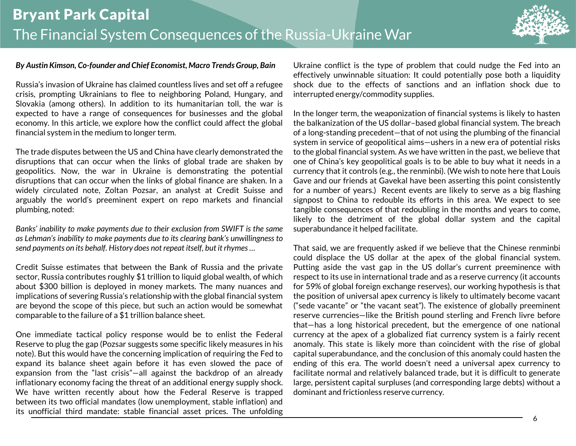

#### *By Austin Kimson, Co-founder and Chief Economist, Macro Trends Group, Bain*

Russia's invasion of Ukraine has claimed countless lives and set off a refugee crisis, prompting Ukrainians to flee to neighboring Poland, Hungary, and Slovakia (among others). In addition to its humanitarian toll, the war is expected to have a range of consequences for businesses and the global economy. In this article, we explore how the conflict could affect the global financial system in the medium to longer term.

The trade disputes between the US and China have clearly demonstrated the disruptions that can occur when the links of global trade are shaken by geopolitics. Now, the war in Ukraine is demonstrating the potential disruptions that can occur when the links of global finance are shaken. In a widely circulated note, Zoltan Pozsar, an analyst at Credit Suisse and arguably the world's preeminent expert on repo markets and financial plumbing, noted:

*Banks' inability to make payments due to their exclusion from SWIFT is the same as Lehman's inability to make payments due to its clearing bank's unwillingness to send payments on its behalf. History does not repeat itself, but it rhymes …*

Credit Suisse estimates that between the Bank of Russia and the private sector, Russia contributes roughly \$1 trillion to liquid global wealth, of which about \$300 billion is deployed in money markets. The many nuances and implications of severing Russia's relationship with the global financial system are beyond the scope of this piece, but such an action would be somewhat comparable to the failure of a \$1 trillion balance sheet.

One immediate tactical policy response would be to enlist the Federal Reserve to plug the gap (Pozsar suggests some specific likely measures in his note). But this would have the concerning implication of requiring the Fed to expand its balance sheet again before it has even slowed the pace of expansion from the "last crisis"—all against the backdrop of an already inflationary economy facing the threat of an additional energy supply shock. We have written recently about how the Federal Reserve is trapped between its two official mandates (low unemployment, stable inflation) and its unofficial third mandate: stable financial asset prices. The unfolding Ukraine conflict is the type of problem that could nudge the Fed into an effectively unwinnable situation: It could potentially pose both a liquidity shock due to the effects of sanctions and an inflation shock due to interrupted energy/commodity supplies.

In the longer term, the weaponization of financial systems is likely to hasten the balkanization of the US dollar–based global financial system. The breach of a long-standing precedent—that of not using the plumbing of the financial system in service of geopolitical aims—ushers in a new era of potential risks to the global financial system. As we have written in the past, we believe that one of China's key geopolitical goals is to be able to buy what it needs in a currency that it controls (e.g., the renminbi). (We wish to note here that Louis Gave and our friends at Gavekal have been asserting this point consistently for a number of years.) Recent events are likely to serve as a big flashing signpost to China to redouble its efforts in this area. We expect to see tangible consequences of that redoubling in the months and years to come, likely to the detriment of the global dollar system and the capital superabundance it helped facilitate.

That said, we are frequently asked if we believe that the Chinese renminbi could displace the US dollar at the apex of the global financial system. Putting aside the vast gap in the US dollar's current preeminence with respect to its use in international trade and as a reserve currency (it accounts for 59% of global foreign exchange reserves), our working hypothesis is that the position of universal apex currency is likely to ultimately become vacant ("sede vacante" or "the vacant seat"). The existence of globally preeminent reserve currencies—like the British pound sterling and French livre before that—has a long historical precedent, but the emergence of one national currency at the apex of a globalized fiat currency system is a fairly recent anomaly. This state is likely more than coincident with the rise of global capital superabundance, and the conclusion of this anomaly could hasten the ending of this era. The world doesn't need a universal apex currency to facilitate normal and relatively balanced trade, but it is difficult to generate large, persistent capital surpluses (and corresponding large debts) without a dominant and frictionless reserve currency.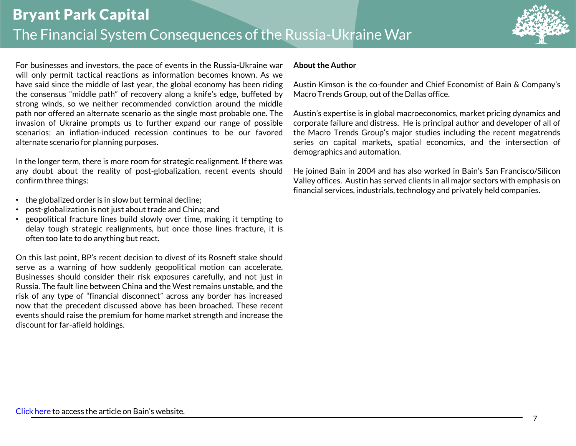

For businesses and investors, the pace of events in the Russia-Ukraine war will only permit tactical reactions as information becomes known. As we have said since the middle of last year, the global economy has been riding the consensus "middle path" of recovery along a knife's edge, buffeted by strong winds, so we neither recommended conviction around the middle path nor offered an alternate scenario as the single most probable one. The invasion of Ukraine prompts us to further expand our range of possible scenarios; an inflation-induced recession continues to be our favored alternate scenario for planning purposes.

In the longer term, there is more room for strategic realignment. If there was any doubt about the reality of post-globalization, recent events should confirm three things:

- the globalized order is in slow but terminal decline;
- post-globalization is not just about trade and China; and
- geopolitical fracture lines build slowly over time, making it tempting to delay tough strategic realignments, but once those lines fracture, it is often too late to do anything but react.

On this last point, BP's recent decision to divest of its Rosneft stake should serve as a warning of how suddenly geopolitical motion can accelerate. Businesses should consider their risk exposures carefully, and not just in Russia. The fault line between China and the West remains unstable, and the risk of any type of "financial disconnect" across any border has increased now that the precedent discussed above has been broached. These recent events should raise the premium for home market strength and increase the discount for far-afield holdings.

#### **About the Author**

Austin Kimson is the co-founder and Chief Economist of Bain & Company's Macro Trends Group, out of the Dallas office.

Austin's expertise is in global macroeconomics, market pricing dynamics and corporate failure and distress. He is principal author and developer of all of the Macro Trends Group's major studies including the recent megatrends series on capital markets, spatial economics, and the intersection of demographics and automation.

He joined Bain in 2004 and has also worked in Bain's San Francisco/Silicon Valley offices. Austin has served clients in all major sectors with emphasis on financial services, industrials,technology and privately held companies.